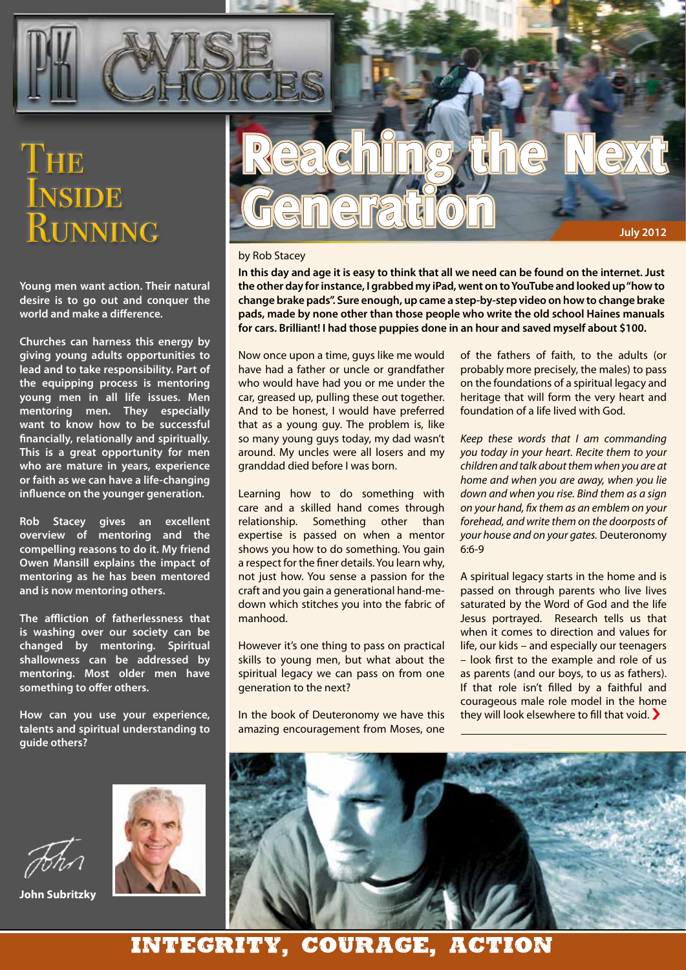

# THE INSIDE RUNNING

**Young men want action. Their natural desire is to go out and conquer the world and make a difference.**

**Churches can harness this energy by giving young adults opportunities to lead and to take responsibility. Part of the equipping process is mentoring young men in all life issues. Men mentoring men. They especially want to know how to be successful financially, relationally and spiritually. This is a great opportunity for men who are mature in years, experience or faith as we can have a life-changing influence on the younger generation.**

**Rob Stacey gives an excellent overview of mentoring and the compelling reasons to do it. My friend Owen Mansill explains the impact of mentoring as he has been mentored and is now mentoring others.**

**The affliction of fatherlessness that is washing over our society can be changed by mentoring. Spiritual shallowness can be addressed by mentoring. Most older men have something to offer others.** 

**How can you use your experience, talents and spiritual understanding to guide others?**



**John Subritzky**



#### by Rob Stacey

**In this day and age it is easy to think that all we need can be found on the internet. Just the other day for instance, I grabbed my iPad, went on to YouTube and looked up "how to change brake pads". Sure enough, up came a step-by-step video on how to change brake pads, made by none other than those people who write the old school Haines manuals for cars. Brilliant! I had those puppies done in an hour and saved myself about \$100.**

Now once upon a time, guys like me would have had a father or uncle or grandfather who would have had you or me under the car, greased up, pulling these out together. And to be honest, I would have preferred that as a young guy. The problem is, like so many young guys today, my dad wasn't around. My uncles were all losers and my granddad died before I was born.

Learning how to do something with care and a skilled hand comes through relationship. Something other than expertise is passed on when a mentor shows you how to do something. You gain a respect for the finer details. You learn why, not just how. You sense a passion for the craft and you gain a generational hand-medown which stitches you into the fabric of manhood.

However it's one thing to pass on practical skills to young men, but what about the spiritual legacy we can pass on from one generation to the next?

In the book of Deuteronomy we have this amazing encouragement from Moses, one of the fathers of faith, to the adults (or probably more precisely, the males) to pass on the foundations of a spiritual legacy and heritage that will form the very heart and foundation of a life lived with God.

*Keep these words that I am commanding you today in your heart. Recite them to your children and talk about them when you are at home and when you are away, when you lie down and when you rise. Bind them as a sign on your hand, fix them as an emblem on your forehead, and write them on the doorposts of your house and on your gates.* Deuteronomy 6:6-9

A spiritual legacy starts in the home and is passed on through parents who live lives saturated by the Word of God and the life Jesus portrayed. Research tells us that when it comes to direction and values for life, our kids – and especially our teenagers – look first to the example and role of us as parents (and our boys, to us as fathers). If that role isn't filled by a faithful and courageous male role model in the home they will look elsewhere to fill that void. �



### INTEGRITY, COURAGE, ACTION